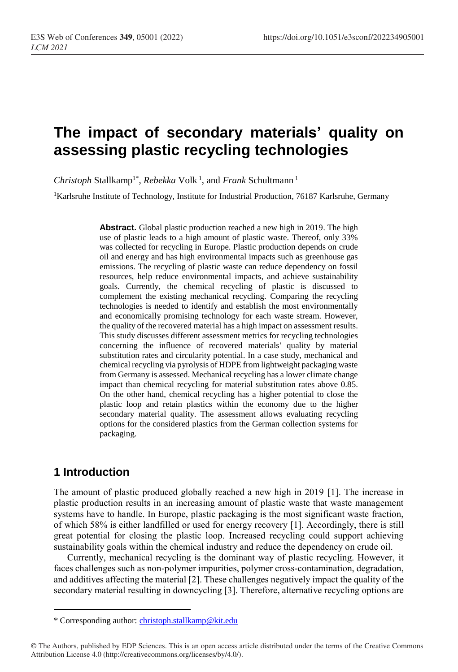# **The impact of secondary materials' quality on assessing plastic recycling technologies**

Christoph Stallkamp<sup>1\*</sup>, *Rebekka* Volk<sup>1</sup>, and *Frank* Schultmann<sup>1</sup>

<sup>1</sup>Karlsruhe Institute of Technology, Institute for Industrial Production, 76187 Karlsruhe, Germany

**Abstract.** Global plastic production reached a new high in 2019. The high use of plastic leads to a high amount of plastic waste. Thereof, only 33% was collected for recycling in Europe. Plastic production depends on crude oil and energy and has high environmental impacts such as greenhouse gas emissions. The recycling of plastic waste can reduce dependency on fossil resources, help reduce environmental impacts, and achieve sustainability goals. Currently, the chemical recycling of plastic is discussed to complement the existing mechanical recycling. Comparing the recycling technologies is needed to identify and establish the most environmentally and economically promising technology for each waste stream. However, the quality of the recovered material has a high impact on assessment results. This study discusses different assessment metrics for recycling technologies concerning the influence of recovered materials' quality by material substitution rates and circularity potential. In a case study, mechanical and chemical recycling via pyrolysis of HDPE from lightweight packaging waste from Germany is assessed. Mechanical recycling has a lower climate change impact than chemical recycling for material substitution rates above 0.85. On the other hand, chemical recycling has a higher potential to close the plastic loop and retain plastics within the economy due to the higher secondary material quality. The assessment allows evaluating recycling options for the considered plastics from the German collection systems for packaging.

# **1 Introduction**

 $\overline{a}$ 

The amount of plastic produced globally reached a new high in 2019 [1]. The increase in plastic production results in an increasing amount of plastic waste that waste management systems have to handle. In Europe, plastic packaging is the most significant waste fraction, of which 58% is either landfilled or used for energy recovery [1]. Accordingly, there is still great potential for closing the plastic loop. Increased recycling could support achieving sustainability goals within the chemical industry and reduce the dependency on crude oil.

Currently, mechanical recycling is the dominant way of plastic recycling. However, it faces challenges such as non-polymer impurities, polymer cross-contamination, degradation, and additives affecting the material [2]. These challenges negatively impact the quality of the secondary material resulting in downcycling [3]. Therefore, alternative recycling options are

<sup>\*</sup> Corresponding author: [christoph.stallkamp@kit.edu](mailto:christoph.stallkamp@kit.edu)

<sup>©</sup> The Authors, published by EDP Sciences. This is an open access article distributed under the terms of the Creative Commons Attribution License 4.0 (http://creativecommons.org/licenses/by/4.0/).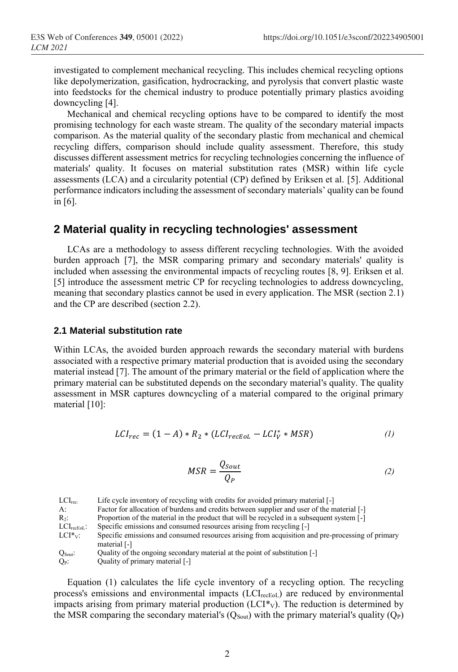investigated to complement mechanical recycling. This includes chemical recycling options like depolymerization, gasification, hydrocracking, and pyrolysis that convert plastic waste into feedstocks for the chemical industry to produce potentially primary plastics avoiding downcycling [4].

Mechanical and chemical recycling options have to be compared to identify the most promising technology for each waste stream. The quality of the secondary material impacts comparison. As the material quality of the secondary plastic from mechanical and chemical recycling differs, comparison should include quality assessment. Therefore, this study discusses different assessment metrics for recycling technologies concerning the influence of materials' quality. It focuses on material substitution rates (MSR) within life cycle assessments (LCA) and a circularity potential (CP) defined by Eriksen et al. [5]. Additional performance indicators including the assessment of secondary materials' quality can be found in [6].

## **2 Material quality in recycling technologies' assessment**

LCAs are a methodology to assess different recycling technologies. With the avoided burden approach [7], the MSR comparing primary and secondary materials' quality is included when assessing the environmental impacts of recycling routes [8, 9]. Eriksen et al. [5] introduce the assessment metric CP for recycling technologies to address downcycling, meaning that secondary plastics cannot be used in every application. The MSR (section [2.1\)](#page-1-0) and the CP are described (section [2.2\)](#page-2-0).

#### <span id="page-1-0"></span>**2.1 Material substitution rate**

Within LCAs, the avoided burden approach rewards the secondary material with burdens associated with a respective primary material production that is avoided using the secondary material instead [7]. The amount of the primary material or the field of application where the primary material can be substituted depends on the secondary material's quality. The quality assessment in MSR captures downcycling of a material compared to the original primary material [10]:

$$
LCI_{rec} = (1 - A) * R_2 * (LCI_{recEol} - LCI_{V}^* * MSR)
$$
 (1)

<span id="page-1-2"></span><span id="page-1-1"></span>
$$
MSR = \frac{Q_{Sout}}{Q_P} \tag{2}
$$

| LCI <sub>rec</sub>  | Life cycle inventory of recycling with credits for avoided primary material [-]                  |
|---------------------|--------------------------------------------------------------------------------------------------|
| A:                  | Factor for allocation of burdens and credits between supplier and user of the material [-]       |
| $R_2$ :             | Proportion of the material in the product that will be recycled in a subsequent system [-]       |
| $LCI_{recEoL}:$     | Specific emissions and consumed resources arising from recycling [-]                             |
| $LCI*_{V}$ :        | Specific emissions and consumed resources arising from acquisition and pre-processing of primary |
|                     | material [-]                                                                                     |
| $Q_{\text{Sout}}$ : | Ouality of the ongoing secondary material at the point of substitution [-]                       |
| $O_P$ :             | Quality of primary material [-]                                                                  |

Equation [\(1\)](#page-1-1) calculates the life cycle inventory of a recycling option. The recycling process's emissions and environmental impacts (LCI<sub>recEoL</sub>) are reduced by environmental impacts arising from primary material production  $(LCI<sup>*</sup><sub>V</sub>)$ . The reduction is determined by the MSR comparing the secondary material's  $(Q_{Sout})$  with the primary material's quality  $(Q_P)$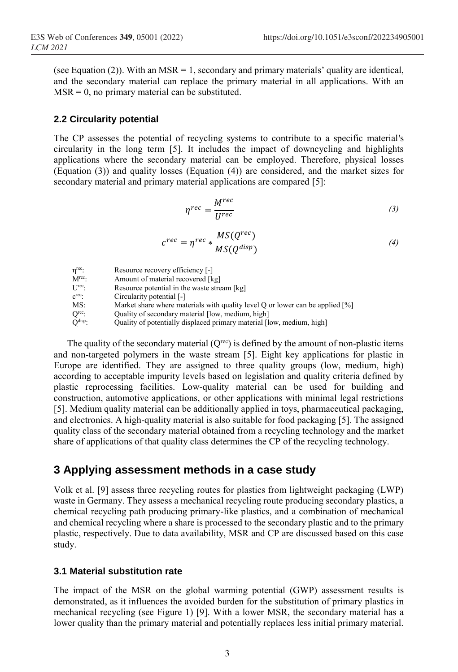(see Equatio[n \(2\)\)](#page-1-2). With an MSR = 1, secondary and primary materials' quality are identical, and the secondary material can replace the primary material in all applications. With an  $MSR = 0$ , no primary material can be substituted.

#### <span id="page-2-0"></span>**2.2 Circularity potential**

The CP assesses the potential of recycling systems to contribute to a specific material's circularity in the long term [5]. It includes the impact of downcycling and highlights applications where the secondary material can be employed. Therefore, physical losses (Equation [\(3\)\)](#page-2-1) and quality losses (Equation [\(4\)\)](#page-2-2) are considered, and the market sizes for secondary material and primary material applications are compared [5]:

<span id="page-2-2"></span><span id="page-2-1"></span>
$$
\eta^{rec} = \frac{M^{rec}}{U^{rec}}\tag{3}
$$

$$
c^{rec} = \eta^{rec} * \frac{MS(Q^{rec})}{MS(Q^{disp})}
$$
\n(4)

| n <sup>rec</sup> : | Resource recovery efficiency [-]                                                |  |
|--------------------|---------------------------------------------------------------------------------|--|
| $Mrec$ :           | Amount of material recovered [kg]                                               |  |
| $Urec$ :           | Resource potential in the waste stream [kg]                                     |  |
| $c^{rec}$ :        | Circularity potential [-]                                                       |  |
| MS:                | Market share where materials with quality level Q or lower can be applied $[%]$ |  |
| $O^{\text{rec}}$ : | Quality of secondary material [low, medium, high]                               |  |
| $O^{disp}$ :       | Quality of potentially displaced primary material [low, medium, high]           |  |

The quality of the secondary material  $(Q^{rec})$  is defined by the amount of non-plastic items and non-targeted polymers in the waste stream [5]. Eight key applications for plastic in Europe are identified. They are assigned to three quality groups (low, medium, high) according to acceptable impurity levels based on legislation and quality criteria defined by plastic reprocessing facilities. Low-quality material can be used for building and construction, automotive applications, or other applications with minimal legal restrictions [5]. Medium quality material can be additionally applied in toys, pharmaceutical packaging, and electronics. A high-quality material is also suitable for food packaging [5]. The assigned quality class of the secondary material obtained from a recycling technology and the market share of applications of that quality class determines the CP of the recycling technology.

### **3 Applying assessment methods in a case study**

Volk et al. [9] assess three recycling routes for plastics from lightweight packaging (LWP) waste in Germany. They assess a mechanical recycling route producing secondary plastics, a chemical recycling path producing primary-like plastics, and a combination of mechanical and chemical recycling where a share is processed to the secondary plastic and to the primary plastic, respectively. Due to data availability, MSR and CP are discussed based on this case study.

#### **3.1 Material substitution rate**

The impact of the MSR on the global warming potential (GWP) assessment results is demonstrated, as it influences the avoided burden for the substitution of primary plastics in mechanical recycling (see Figure 1) [9]. With a lower MSR, the secondary material has a lower quality than the primary material and potentially replaces less initial primary material.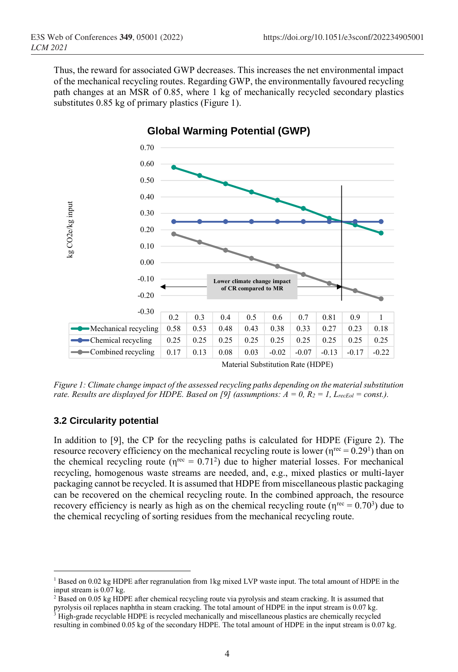Thus, the reward for associated GWP decreases. This increases the net environmental impact of the mechanical recycling routes. Regarding GWP, the environmentally favoured recycling path changes at an MSR of 0.85, where 1 kg of mechanically recycled secondary plastics substitutes 0.85 kg of primary plastics (Figure 1).



### **Global Warming Potential (GWP)**

*Figure 1: Climate change impact of the assessed recycling paths depending on the material substitution rate. Results are displayed for HDPE. Based on [9] (assumptions:*  $A = 0$ *,*  $R_2 = 1$ *, L<sub>recEol</sub> = const.).* 

### **3.2 Circularity potential**

 $\overline{a}$ 

In addition to [9], the CP for the recycling paths is calculated for HDPE [\(Figure 2\)](#page-4-0). The resource recovery efficiency on the mechanical recycling route is lower ( $\eta^{\text{rec}} = 0.29^{\text{l}}$ ) than on the chemical recycling route ( $\eta^{\text{rec}} = 0.71^2$ ) due to higher material losses. For mechanical recycling, homogenous waste streams are needed, and, e.g., mixed plastics or multi-layer packaging cannot be recycled. It is assumed that HDPE from miscellaneous plastic packaging can be recovered on the chemical recycling route. In the combined approach, the resource recovery efficiency is nearly as high as on the chemical recycling route ( $\eta^{\text{rec}} = 0.70^3$ ) due to the chemical recycling of sorting residues from the mechanical recycling route.

<sup>2</sup> Based on 0.05 kg HDPE after chemical recycling route via pyrolysis and steam cracking. It is assumed that pyrolysis oil replaces naphtha in steam cracking. The total amount of HDPE in the input stream is 0.07 kg. <sup>3</sup> High-grade recyclable HDPE is recycled mechanically and miscellaneous plastics are chemically recycled

<sup>&</sup>lt;sup>1</sup> Based on 0.02 kg HDPE after regranulation from 1kg mixed LVP waste input. The total amount of HDPE in the input stream is 0.07 kg.

resulting in combined 0.05 kg of the secondary HDPE. The total amount of HDPE in the input stream is 0.07 kg.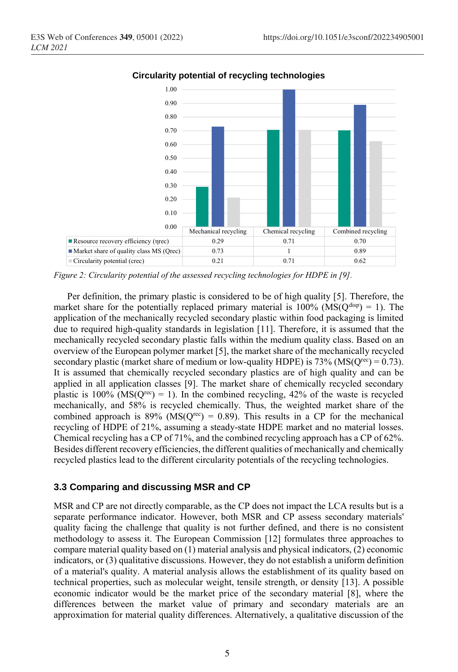

**Circularity potential of recycling technologies**

<span id="page-4-0"></span>*Figure 2: Circularity potential of the assessed recycling technologies for HDPE in [9].*

Per definition, the primary plastic is considered to be of high quality [5]. Therefore, the market share for the potentially replaced primary material is  $100\%$  (MS( $Q^{disp}$ ) = 1). The application of the mechanically recycled secondary plastic within food packaging is limited due to required high-quality standards in legislation [11]. Therefore, it is assumed that the mechanically recycled secondary plastic falls within the medium quality class. Based on an overview of the European polymer market [5], the market share of the mechanically recycled secondary plastic (market share of medium or low-quality HDPE) is 73% (MS( $Q^{rec}$ ) = 0.73). It is assumed that chemically recycled secondary plastics are of high quality and can be applied in all application classes [9]. The market share of chemically recycled secondary plastic is 100% ( $MS(Q<sup>rec</sup>) = 1$ ). In the combined recycling, 42% of the waste is recycled mechanically, and 58% is recycled chemically. Thus, the weighted market share of the combined approach is 89% (MS( $Q^{\text{rec}}$ ) = 0.89). This results in a CP for the mechanical recycling of HDPE of 21%, assuming a steady-state HDPE market and no material losses. Chemical recycling has a CP of 71%, and the combined recycling approach has a CP of 62%. Besides different recovery efficiencies, the different qualities of mechanically and chemically recycled plastics lead to the different circularity potentials of the recycling technologies.

### **3.3 Comparing and discussing MSR and CP**

MSR and CP are not directly comparable, as the CP does not impact the LCA results but is a separate performance indicator. However, both MSR and CP assess secondary materials' quality facing the challenge that quality is not further defined, and there is no consistent methodology to assess it. The European Commission [12] formulates three approaches to compare material quality based on (1) material analysis and physical indicators, (2) economic indicators, or (3) qualitative discussions. However, they do not establish a uniform definition of a material's quality. A material analysis allows the establishment of its quality based on technical properties, such as molecular weight, tensile strength, or density [13]. A possible economic indicator would be the market price of the secondary material [8], where the differences between the market value of primary and secondary materials are an approximation for material quality differences. Alternatively, a qualitative discussion of the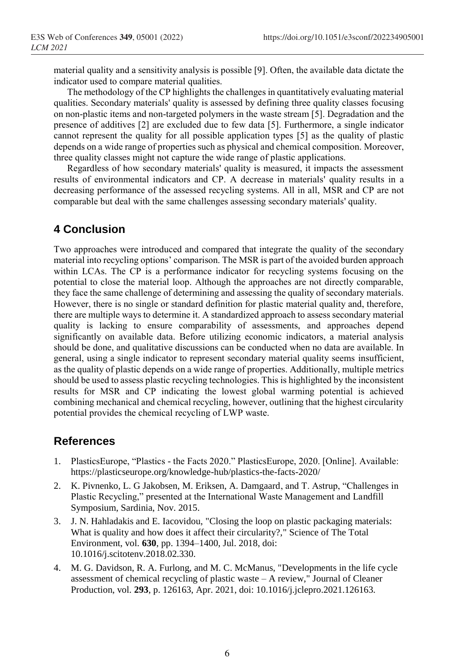material quality and a sensitivity analysis is possible [9]. Often, the available data dictate the indicator used to compare material qualities.

The methodology of the CP highlights the challenges in quantitatively evaluating material qualities. Secondary materials' quality is assessed by defining three quality classes focusing on non-plastic items and non-targeted polymers in the waste stream [5]. Degradation and the presence of additives [2] are excluded due to few data [5]. Furthermore, a single indicator cannot represent the quality for all possible application types [5] as the quality of plastic depends on a wide range of properties such as physical and chemical composition. Moreover, three quality classes might not capture the wide range of plastic applications.

Regardless of how secondary materials' quality is measured, it impacts the assessment results of environmental indicators and CP. A decrease in materials' quality results in a decreasing performance of the assessed recycling systems. All in all, MSR and CP are not comparable but deal with the same challenges assessing secondary materials' quality.

# **4 Conclusion**

Two approaches were introduced and compared that integrate the quality of the secondary material into recycling options' comparison. The MSR is part of the avoided burden approach within LCAs. The CP is a performance indicator for recycling systems focusing on the potential to close the material loop. Although the approaches are not directly comparable, they face the same challenge of determining and assessing the quality of secondary materials. However, there is no single or standard definition for plastic material quality and, therefore, there are multiple ways to determine it. A standardized approach to assess secondary material quality is lacking to ensure comparability of assessments, and approaches depend significantly on available data. Before utilizing economic indicators, a material analysis should be done, and qualitative discussions can be conducted when no data are available. In general, using a single indicator to represent secondary material quality seems insufficient, as the quality of plastic depends on a wide range of properties. Additionally, multiple metrics should be used to assess plastic recycling technologies. This is highlighted by the inconsistent results for MSR and CP indicating the lowest global warming potential is achieved combining mechanical and chemical recycling, however, outlining that the highest circularity potential provides the chemical recycling of LWP waste.

# **References**

- 1. PlasticsEurope, "Plastics the Facts 2020." PlasticsEurope, 2020. [Online]. Available: https://plasticseurope.org/knowledge-hub/plastics-the-facts-2020/
- 2. K. Pivnenko, L. G Jakobsen, M. Eriksen, A. Damgaard, and T. Astrup, "Challenges in Plastic Recycling," presented at the International Waste Management and Landfill Symposium, Sardinia, Nov. 2015.
- 3. J. N. Hahladakis and E. Iacovidou, "Closing the loop on plastic packaging materials: What is quality and how does it affect their circularity?," Science of The Total Environment, vol. **630**, pp. 1394–1400, Jul. 2018, doi: 10.1016/j.scitotenv.2018.02.330.
- 4. M. G. Davidson, R. A. Furlong, and M. C. McManus, "Developments in the life cycle assessment of chemical recycling of plastic waste – A review," Journal of Cleaner Production, vol. **293**, p. 126163, Apr. 2021, doi: 10.1016/j.jclepro.2021.126163.